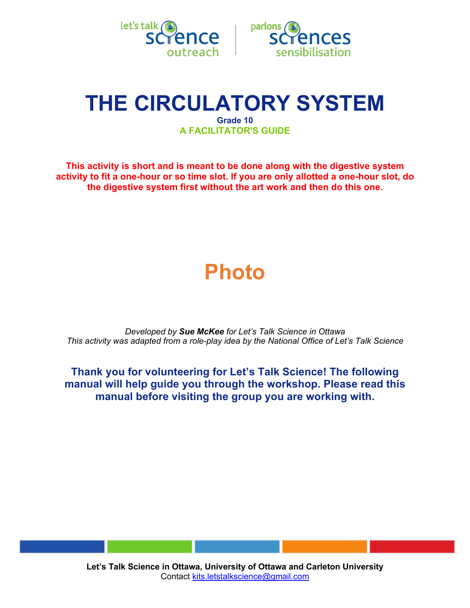



## **THE CIRCULATORY SYSTEM Grade 10 A FACILITATOR'S GUIDE**

**This activity is short and is meant to be done along with the digestive system activity to fit a one-hour or so time slot. If you are only allotted a one-hour slot, do the digestive system first without the art work and then do this one.** 

# **Photo**

*Developed by Sue McKee for Let's Talk Science in Ottawa This activity was adapted from a role-play idea by the National Office of Let's Talk Science*

**Thank you for volunteering for Let's Talk Science! The following manual will help guide you through the workshop. Please read this manual before visiting the group you are working with.**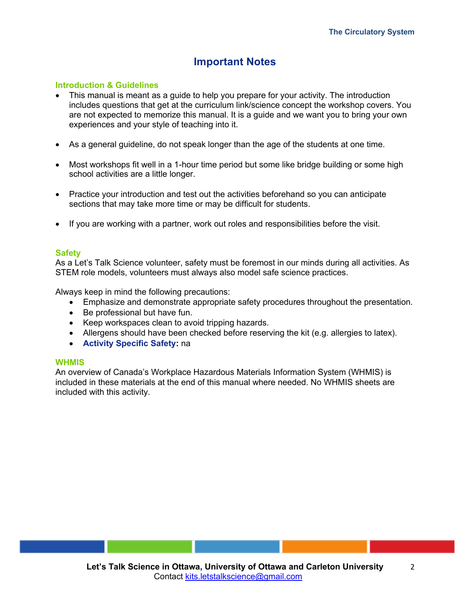### **Important Notes**

### **Introduction & Guidelines**

- This manual is meant as a guide to help you prepare for your activity. The introduction includes questions that get at the curriculum link/science concept the workshop covers. You are not expected to memorize this manual. It is a guide and we want you to bring your own experiences and your style of teaching into it.
- As a general guideline, do not speak longer than the age of the students at one time.
- Most workshops fit well in a 1-hour time period but some like bridge building or some high school activities are a little longer.
- Practice your introduction and test out the activities beforehand so you can anticipate sections that may take more time or may be difficult for students.
- If you are working with a partner, work out roles and responsibilities before the visit.

### **Safety**

As a Let's Talk Science volunteer, safety must be foremost in our minds during all activities. As STEM role models, volunteers must always also model safe science practices.

Always keep in mind the following precautions:

- Emphasize and demonstrate appropriate safety procedures throughout the presentation.
- Be professional but have fun.
- Keep workspaces clean to avoid tripping hazards.
- Allergens should have been checked before reserving the kit (e.g. allergies to latex).
- **Activity Specific Safety:** na

### **WHMIS**

An overview of Canada's Workplace Hazardous Materials Information System (WHMIS) is included in these materials at the end of this manual where needed. No WHMIS sheets are included with this activity.

2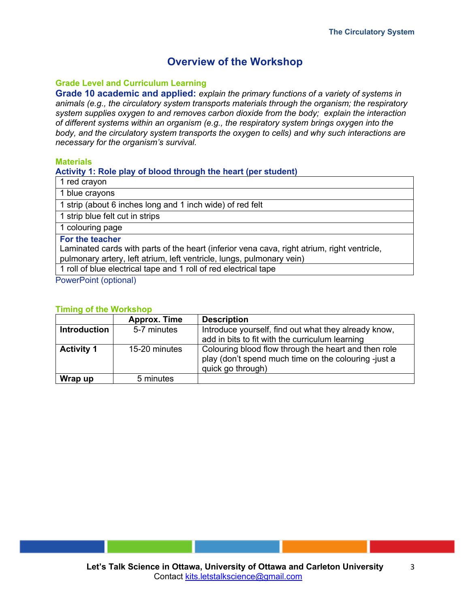### **Overview of the Workshop**

### **Grade Level and Curriculum Learning**

**Grade 10 academic and applied:** *explain the primary functions of a variety of systems in animals (e.g., the circulatory system transports materials through the organism; the respiratory system supplies oxygen to and removes carbon dioxide from the body; explain the interaction of different systems within an organism (e.g., the respiratory system brings oxygen into the body, and the circulatory system transports the oxygen to cells) and why such interactions are necessary for the organism's survival.*

### **Materials**

### **Activity 1: Role play of blood through the heart (per student)**

1 red crayon

1 blue crayons

1 strip (about 6 inches long and 1 inch wide) of red felt

1 strip blue felt cut in strips

1 colouring page

**For the teacher**

Laminated cards with parts of the heart (inferior vena cava, right atrium, right ventricle, pulmonary artery, left atrium, left ventricle, lungs, pulmonary vein)

1 roll of blue electrical tape and 1 roll of red electrical tape

PowerPoint (optional)

### **Timing of the Workshop**

|                     | <b>Approx. Time</b> | <b>Description</b>                                                                                                                |
|---------------------|---------------------|-----------------------------------------------------------------------------------------------------------------------------------|
| <b>Introduction</b> | 5-7 minutes         | Introduce yourself, find out what they already know,<br>add in bits to fit with the curriculum learning                           |
| <b>Activity 1</b>   | 15-20 minutes       | Colouring blood flow through the heart and then role<br>play (don't spend much time on the colouring -just a<br>quick go through) |
| Wrap up             | 5 minutes           |                                                                                                                                   |

3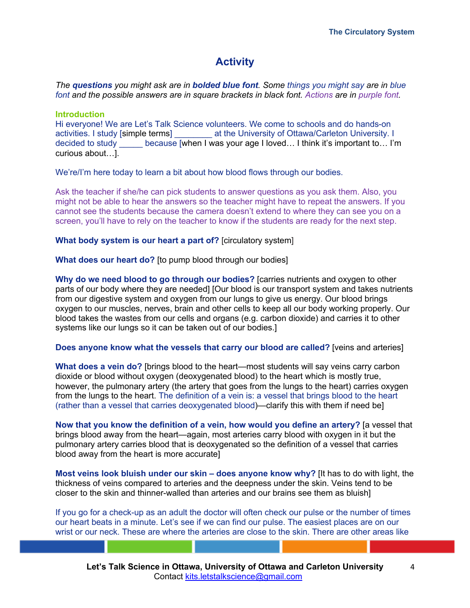### **Activity**

*The questions you might ask are in bolded blue font. Some things you might say are in blue font and the possible answers are in square brackets in black font. Actions are in purple font.*

### **Introduction**

Hi everyone! We are Let's Talk Science volunteers. We come to schools and do hands-on activities. I study [simple terms] \_\_\_\_\_\_\_\_ at the University of Ottawa/Carleton University. I decided to study because [when I was your age I loved... I think it's important to... I'm curious about…].

We're/I'm here today to learn a bit about how blood flows through our bodies.

Ask the teacher if she/he can pick students to answer questions as you ask them. Also, you might not be able to hear the answers so the teacher might have to repeat the answers. If you cannot see the students because the camera doesn't extend to where they can see you on a screen, you'll have to rely on the teacher to know if the students are ready for the next step.

**What body system is our heart a part of?** [circulatory system]

**What does our heart do?** [to pump blood through our bodies]

**Why do we need blood to go through our bodies?** [carries nutrients and oxygen to other parts of our body where they are needed] [Our blood is our transport system and takes nutrients from our digestive system and oxygen from our lungs to give us energy. Our blood brings oxygen to our muscles, nerves, brain and other cells to keep all our body working properly. Our blood takes the wastes from our cells and organs (e.g. carbon dioxide) and carries it to other systems like our lungs so it can be taken out of our bodies.]

**Does anyone know what the vessels that carry our blood are called?** [veins and arteries]

**What does a vein do?** [brings blood to the heart—most students will say veins carry carbon dioxide or blood without oxygen (deoxygenated blood) to the heart which is mostly true, however, the pulmonary artery (the artery that goes from the lungs to the heart) carries oxygen from the lungs to the heart. The definition of a vein is: a vessel that brings blood to the heart (rather than a vessel that carries deoxygenated blood)—clarify this with them if need be]

**Now that you know the definition of a vein, how would you define an artery?** [a vessel that brings blood away from the heart—again, most arteries carry blood with oxygen in it but the pulmonary artery carries blood that is deoxygenated so the definition of a vessel that carries blood away from the heart is more accurate]

**Most veins look bluish under our skin – does anyone know why?** [It has to do with light, the thickness of veins compared to arteries and the deepness under the skin. Veins tend to be closer to the skin and thinner-walled than arteries and our brains see them as bluish]

If you go for a check-up as an adult the doctor will often check our pulse or the number of times our heart beats in a minute. Let's see if we can find our pulse. The easiest places are on our wrist or our neck. These are where the arteries are close to the skin. There are other areas like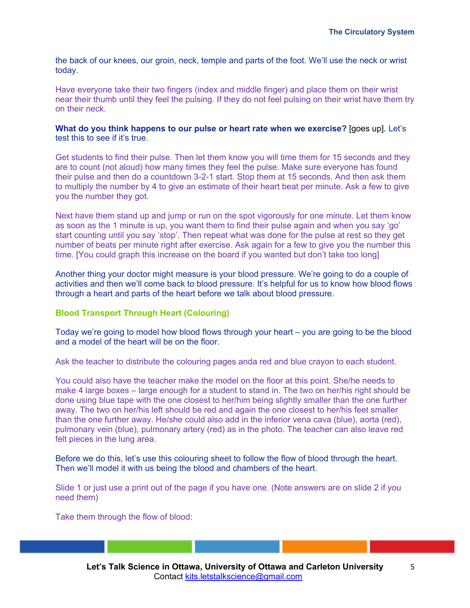the back of our knees, our groin, neck, temple and parts of the foot. We'll use the neck or wrist today.

Have everyone take their two fingers (index and middle finger) and place them on their wrist near their thumb until they feel the pulsing. If they do not feel pulsing on their wrist have them try on their neck.

**What do you think happens to our pulse or heart rate when we exercise?** [goes up]. Let's test this to see if it's true.

Get students to find their pulse. Then let them know you will time them for 15 seconds and they are to count (not aloud) how many times they feel the pulse. Make sure everyone has found their pulse and then do a countdown 3-2-1 start. Stop them at 15 seconds. And then ask them to multiply the number by 4 to give an estimate of their heart beat per minute. Ask a few to give you the number they got.

Next have them stand up and jump or run on the spot vigorously for one minute. Let them know as soon as the 1 minute is up, you want them to find their pulse again and when you say 'go' start counting until you say 'stop'. Then repeat what was done for the pulse at rest so they get number of beats per minute right after exercise. Ask again for a few to give you the number this time. [You could graph this increase on the board if you wanted but don't take too long]

Another thing your doctor might measure is your blood pressure. We're going to do a couple of activities and then we'll come back to blood pressure. It's helpful for us to know how blood flows through a heart and parts of the heart before we talk about blood pressure.

### **Blood Transport Through Heart (Colouring)**

Today we're going to model how blood flows through your heart – you are going to be the blood and a model of the heart will be on the floor.

Ask the teacher to distribute the colouring pages anda red and blue crayon to each student.

You could also have the teacher make the model on the floor at this point. She/he needs to make 4 large boxes – large enough for a student to stand in. The two on her/his right should be done using blue tape with the one closest to her/him being slightly smaller than the one further away. The two on her/his left should be red and again the one closest to her/his feet smaller than the one further away. He/she could also add in the inferior vena cava (blue), aorta (red), pulmonary vein (blue), pulmonary artery (red) as in the photo. The teacher can also leave red felt pieces in the lung area.

Before we do this, let's use this colouring sheet to follow the flow of blood through the heart. Then we'll model it with us being the blood and chambers of the heart.

Slide 1 or just use a print out of the page if you have one. (Note answers are on slide 2 if you need them)

Take them through the flow of blood: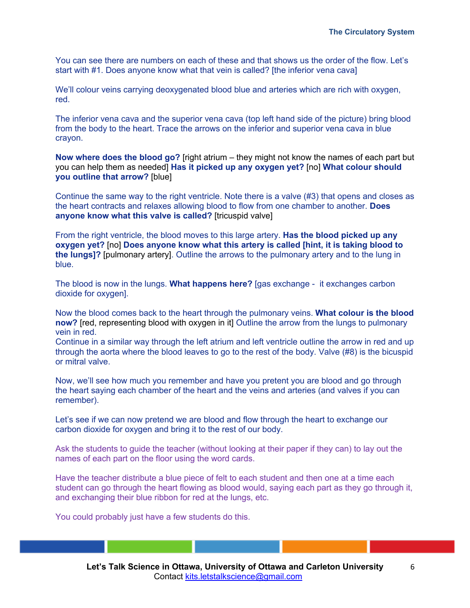You can see there are numbers on each of these and that shows us the order of the flow. Let's start with #1. Does anyone know what that vein is called? [the inferior vena cava]

We'll colour veins carrying deoxygenated blood blue and arteries which are rich with oxygen, red.

The inferior vena cava and the superior vena cava (top left hand side of the picture) bring blood from the body to the heart. Trace the arrows on the inferior and superior vena cava in blue crayon.

**Now where does the blood go?** [right atrium – they might not know the names of each part but you can help them as needed] **Has it picked up any oxygen yet?** [no] **What colour should you outline that arrow?** [blue]

Continue the same way to the right ventricle. Note there is a valve (#3) that opens and closes as the heart contracts and relaxes allowing blood to flow from one chamber to another. **Does anyone know what this valve is called?** [tricuspid valve]

From the right ventricle, the blood moves to this large artery. **Has the blood picked up any oxygen yet?** [no] **Does anyone know what this artery is called [hint, it is taking blood to the lungs]?** [pulmonary artery]. Outline the arrows to the pulmonary artery and to the lung in blue.

The blood is now in the lungs. **What happens here?** [gas exchange - it exchanges carbon dioxide for oxygen].

Now the blood comes back to the heart through the pulmonary veins. **What colour is the blood now?** [red, representing blood with oxygen in it] Outline the arrow from the lungs to pulmonary vein in red.

Continue in a similar way through the left atrium and left ventricle outline the arrow in red and up through the aorta where the blood leaves to go to the rest of the body. Valve (#8) is the bicuspid or mitral valve.

Now, we'll see how much you remember and have you pretent you are blood and go through the heart saying each chamber of the heart and the veins and arteries (and valves if you can remember).

Let's see if we can now pretend we are blood and flow through the heart to exchange our carbon dioxide for oxygen and bring it to the rest of our body.

Ask the students to guide the teacher (without looking at their paper if they can) to lay out the names of each part on the floor using the word cards.

Have the teacher distribute a blue piece of felt to each student and then one at a time each student can go through the heart flowing as blood would, saying each part as they go through it, and exchanging their blue ribbon for red at the lungs, etc.

You could probably just have a few students do this.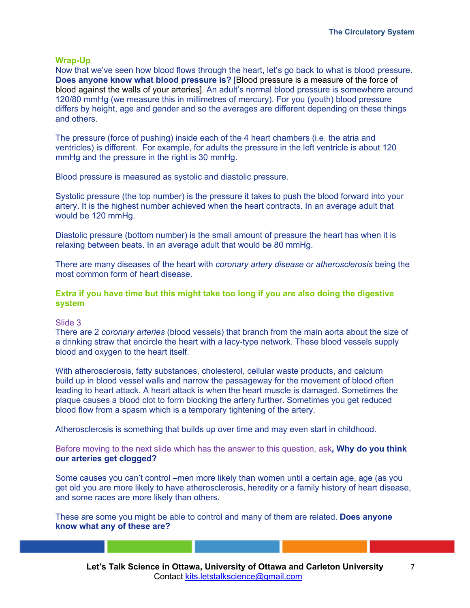### **Wrap-Up**

Now that we've seen how blood flows through the heart, let's go back to what is blood pressure. **Does anyone know what blood pressure is?** [Blood pressure is a measure of the force of blood against the walls of your arteries]. An adult's normal blood pressure is somewhere around 120/80 mmHg (we measure this in millimetres of mercury). For you (youth) blood pressure differs by height, age and gender and so the averages are different depending on these things and others.

The pressure (force of pushing) inside each of the 4 heart chambers (i.e. the atria and ventricles) is different. For example, for adults the pressure in the left ventricle is about 120 mmHg and the pressure in the right is 30 mmHg.

Blood pressure is measured as systolic and diastolic pressure.

Systolic pressure (the top number) is the pressure it takes to push the blood forward into your artery. It is the highest number achieved when the heart contracts. In an average adult that would be 120 mmHg.

Diastolic pressure (bottom number) is the small amount of pressure the heart has when it is relaxing between beats. In an average adult that would be 80 mmHg.

There are many diseases of the heart with *coronary artery disease or atherosclerosis* being the most common form of heart disease.

**Extra if you have time but this might take too long if you are also doing the digestive system**

### Slide 3

There are 2 *coronary arteries* (blood vessels) that branch from the main aorta about the size of a drinking straw that encircle the heart with a lacy-type network. These blood vessels supply blood and oxygen to the heart itself.

With atherosclerosis, fatty substances, cholesterol, cellular waste products, and calcium build up in blood vessel walls and narrow the passageway for the movement of blood often leading to heart attack. A heart attack is when the heart muscle is damaged. Sometimes the plaque causes a blood clot to form blocking the artery further. Sometimes you get reduced blood flow from a spasm which is a temporary tightening of the artery.

Atherosclerosis is something that builds up over time and may even start in childhood.

Before moving to the next slide which has the answer to this question, ask**, Why do you think our arteries get clogged?** 

Some causes you can't control –men more likely than women until a certain age, age (as you get old you are more likely to have atherosclerosis, heredity or a family history of heart disease, and some races are more likely than others.

These are some you might be able to control and many of them are related. **Does anyone know what any of these are?**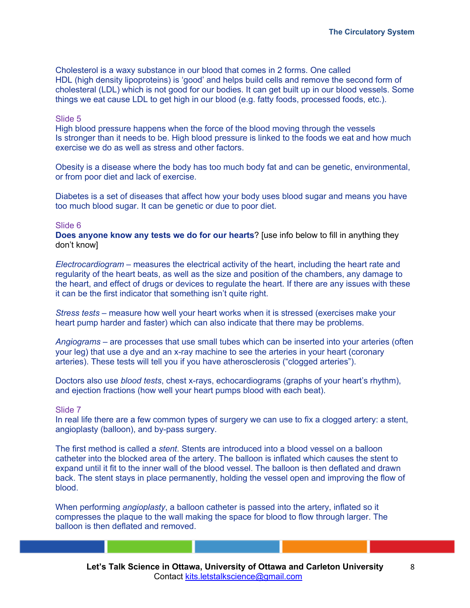Cholesterol is a waxy substance in our blood that comes in 2 forms. One called HDL (high density lipoproteins) is 'good' and helps build cells and remove the second form of cholesteral (LDL) which is not good for our bodies. It can get built up in our blood vessels. Some things we eat cause LDL to get high in our blood (e.g. fatty foods, processed foods, etc.).

### Slide 5

High blood pressure happens when the force of the blood moving through the vessels Is stronger than it needs to be. High blood pressure is linked to the foods we eat and how much exercise we do as well as stress and other factors.

Obesity is a disease where the body has too much body fat and can be genetic, environmental, or from poor diet and lack of exercise.

Diabetes is a set of diseases that affect how your body uses blood sugar and means you have too much blood sugar. It can be genetic or due to poor diet.

### Slide 6

**Does anyone know any tests we do for our hearts**? [use info below to fill in anything they don't know]

*Electrocardiogram* – measures the electrical activity of the heart, including the heart rate and regularity of the heart beats, as well as the size and position of the chambers, any damage to the heart, and effect of drugs or devices to regulate the heart. If there are any issues with these it can be the first indicator that something isn't quite right.

*Stress tests* – measure how well your heart works when it is stressed (exercises make your heart pump harder and faster) which can also indicate that there may be problems.

*Angiograms* – are processes that use small tubes which can be inserted into your arteries (often your leg) that use a dye and an x-ray machine to see the arteries in your heart (coronary arteries). These tests will tell you if you have atherosclerosis ("clogged arteries").

Doctors also use *blood tests*, chest x-rays, echocardiograms (graphs of your heart's rhythm), and ejection fractions (how well your heart pumps blood with each beat).

#### Slide 7

In real life there are a few common types of surgery we can use to fix a clogged artery: a stent, angioplasty (balloon), and by-pass surgery.

The first method is called a *stent*. Stents are introduced into a blood vessel on a balloon catheter into the blocked area of the artery. The balloon is inflated which causes the stent to expand until it fit to the inner wall of the blood vessel. The balloon is then deflated and drawn back. The stent stays in place permanently, holding the vessel open and improving the flow of blood.

When performing *angioplasty*, a balloon catheter is passed into the artery, inflated so it compresses the plaque to the wall making the space for blood to flow through larger. The balloon is then deflated and removed.